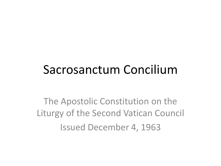#### Sacrosanctum Concilium

The Apostolic Constitution on the Liturgy of the Second Vatican Council Issued December 4, 1963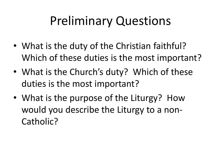# Preliminary Questions

- What is the duty of the Christian faithful? Which of these duties is the most important?
- What is the Church's duty? Which of these duties is the most important?
- What is the purpose of the Liturgy? How would you describe the Liturgy to a non-Catholic?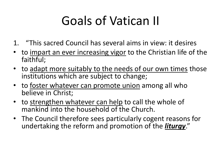# Goals of Vatican II

- 1. "This sacred Council has several aims in view: it desires
- to impart an ever increasing vigor to the Christian life of the faithful;
- to adapt more suitably to the needs of our own times those institutions which are subject to change;
- to foster whatever can promote union among all who believe in Christ;
- to strengthen whatever can help to call the whole of mankind into the household of the Church.
- The Council therefore sees particularly cogent reasons for undertaking the reform and promotion of the *liturgy*."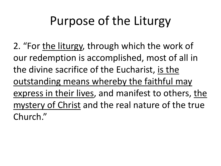# Purpose of the Liturgy

2. "For the liturgy, through which the work of our redemption is accomplished, most of all in the divine sacrifice of the Eucharist, is the outstanding means whereby the faithful may express in their lives, and manifest to others, the mystery of Christ and the real nature of the true Church."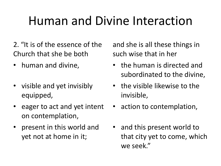# Human and Divine Interaction

- 2. "It is of the essence of the Church that she be both
- 
- visible and yet invisibly equipped,
- eager to act and yet intent on contemplation,
- present in this world and yet not at home in it;

and she is all these things in such wise that in her

- human and divine, **•** the human is directed and subordinated to the divine,
	- the visible likewise to the invisible,
	- action to contemplation,
	- and this present world to that city yet to come, which we seek."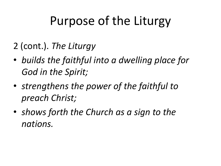# Purpose of the Liturgy

- 2 (cont.). *The Liturgy*
- *builds the faithful into a dwelling place for God in the Spirit;*
- *strengthens the power of the faithful to preach Christ;*
- *shows forth the Church as a sign to the nations.*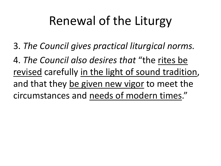# Renewal of the Liturgy

3. *The Council gives practical liturgical norms.*

4. *The Council also desires that* "the rites be revised carefully in the light of sound tradition, and that they be given new vigor to meet the circumstances and needs of modern times."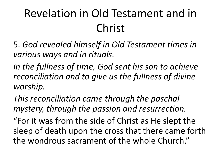## Revelation in Old Testament and in Christ

5. *God revealed himself in Old Testament times in various ways and in rituals.*

*In the fullness of time, God sent his son to achieve reconciliation and to give us the fullness of divine worship.*

*This reconciliation came through the paschal mystery, through the passion and resurrection.*

"For it was from the side of Christ as He slept the sleep of death upon the cross that there came forth the wondrous sacrament of the whole Church."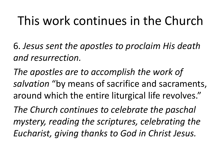# This work continues in the Church

6. *Jesus sent the apostles to proclaim His death and resurrection.*

*The apostles are to accomplish the work of salvation* "by means of sacrifice and sacraments, around which the entire liturgical life revolves."

*The Church continues to celebrate the paschal mystery, reading the scriptures, celebrating the Eucharist, giving thanks to God in Christ Jesus.*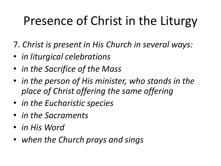# Presence of Christ in the Liturgy

- 7. *Christ is present in His Church in several ways:*
- *in liturgical celebrations*
- *in the Sacrifice of the Mass*
- *in the person of His minister, who stands in the place of Christ offering the same offering*
- *in the Eucharistic species*
- *in the Sacraments*
- *in His Word*
- *when the Church prays and sings*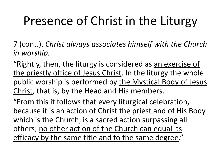# Presence of Christ in the Liturgy

7 (cont.). *Christ always associates himself with the Church in worship.*

"Rightly, then, the liturgy is considered as an exercise of the priestly office of Jesus Christ. In the liturgy the whole public worship is performed by the Mystical Body of Jesus Christ, that is, by the Head and His members.

"From this it follows that every liturgical celebration, because it is an action of Christ the priest and of His Body which is the Church, is a sacred action surpassing all others; no other action of the Church can equal its efficacy by the same title and to the same degree."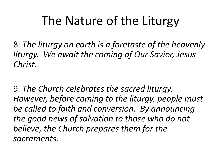# The Nature of the Liturgy

8. *The liturgy on earth is a foretaste of the heavenly liturgy. We await the coming of Our Savior, Jesus Christ.*

9. *The Church celebrates the sacred liturgy. However, before coming to the liturgy, people must be called to faith and conversion. By announcing the good news of salvation to those who do not believe, the Church prepares them for the sacraments.*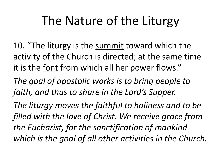# The Nature of the Liturgy

10. "The liturgy is the summit toward which the activity of the Church is directed; at the same time it is the font from which all her power flows."

*The goal of apostolic works is to bring people to faith, and thus to share in the Lord's Supper.*

*The liturgy moves the faithful to holiness and to be filled with the love of Christ. We receive grace from the Eucharist, for the sanctification of mankind which is the goal of all other activities in the Church.*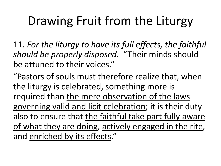# Drawing Fruit from the Liturgy

11. *For the liturgy to have its full effects, the faithful should be properly disposed.* "Their minds should be attuned to their voices."

"Pastors of souls must therefore realize that, when the liturgy is celebrated, something more is required than the mere observation of the laws governing valid and licit celebration; it is their duty also to ensure that the faithful take part fully aware of what they are doing, actively engaged in the rite, and enriched by its effects."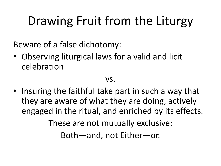# Drawing Fruit from the Liturgy

Beware of a false dichotomy:

• Observing liturgical laws for a valid and licit celebration

#### vs.

• Insuring the faithful take part in such a way that they are aware of what they are doing, actively engaged in the ritual, and enriched by its effects. These are not mutually exclusive: Both—and, not Either—or.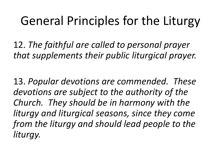## General Principles for the Liturgy

12. *The faithful are called to personal prayer that supplements their public liturgical prayer.*

13. *Popular devotions are commended. These devotions are subject to the authority of the Church. They should be in harmony with the liturgy and liturgical seasons, since they come from the liturgy and should lead people to the liturgy.*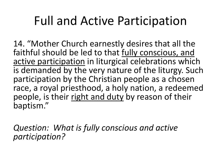## Full and Active Participation

14. "Mother Church earnestly desires that all the faithful should be led to that fully conscious, and active participation in liturgical celebrations which is demanded by the very nature of the liturgy. Such participation by the Christian people as a chosen race, a royal priesthood, a holy nation, a redeemed people, is their right and duty by reason of their baptism."

*Question: What is fully conscious and active participation?*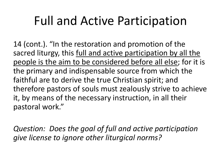# Full and Active Participation

14 (cont.). "In the restoration and promotion of the sacred liturgy, this full and active participation by all the people is the aim to be considered before all else; for it is the primary and indispensable source from which the faithful are to derive the true Christian spirit; and therefore pastors of souls must zealously strive to achieve it, by means of the necessary instruction, in all their pastoral work."

*Question: Does the goal of full and active participation give license to ignore other liturgical norms?*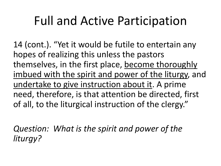## Full and Active Participation

14 (cont.). "Yet it would be futile to entertain any hopes of realizing this unless the pastors themselves, in the first place, become thoroughly imbued with the spirit and power of the liturgy, and undertake to give instruction about it. A prime need, therefore, is that attention be directed, first of all, to the liturgical instruction of the clergy."

*Question: What is the spirit and power of the liturgy?*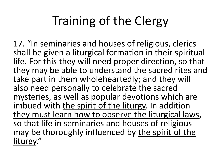# Training of the Clergy

17. "In seminaries and houses of religious, clerics shall be given a liturgical formation in their spiritual life. For this they will need proper direction, so that they may be able to understand the sacred rites and take part in them wholeheartedly; and they will also need personally to celebrate the sacred mysteries, as well as popular devotions which are imbued with the spirit of the liturgy. In addition they must learn how to observe the liturgical laws, so that life in seminaries and houses of religious may be thoroughly influenced by the spirit of the liturgy."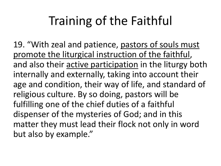# Training of the Faithful

19. "With zeal and patience, pastors of souls must promote the liturgical instruction of the faithful, and also their active participation in the liturgy both internally and externally, taking into account their age and condition, their way of life, and standard of religious culture. By so doing, pastors will be fulfilling one of the chief duties of a faithful dispenser of the mysteries of God; and in this matter they must lead their flock not only in word but also by example."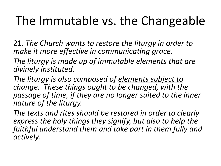# The Immutable vs. the Changeable

21. *The Church wants to restore the liturgy in order to make it more effective in communicating grace.*

*The liturgy is made up of immutable elements that are divinely instituted.*

*The liturgy is also composed of elements subject to change. These things ought to be changed, with the passage of time, if they are no longer suited to the inner nature of the liturgy.*

*The texts and rites should be restored in order to clearly express the holy things they signify, but also to help the faithful understand them and take part in them fully and actively.*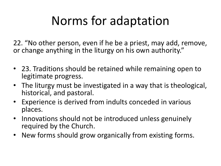# Norms for adaptation

22. "No other person, even if he be a priest, may add, remove, or change anything in the liturgy on his own authority."

- 23. Traditions should be retained while remaining open to legitimate progress.
- The liturgy must be investigated in a way that is theological, historical, and pastoral.
- Experience is derived from indults conceded in various places.
- Innovations should not be introduced unless genuinely required by the Church.
- New forms should grow organically from existing forms.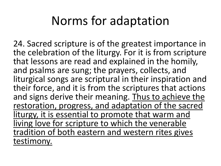#### Norms for adaptation

24. Sacred scripture is of the greatest importance in the celebration of the liturgy. For it is from scripture that lessons are read and explained in the homily, and psalms are sung; the prayers, collects, and liturgical songs are scriptural in their inspiration and their force, and it is from the scriptures that actions and signs derive their meaning. Thus to achieve the restoration, progress, and adaptation of the sacred liturgy, it is essential to promote that warm and living love for scripture to which the venerable tradition of both eastern and western rites gives testimony.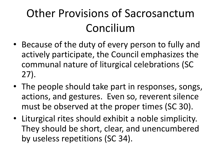- Because of the duty of every person to fully and actively participate, the Council emphasizes the communal nature of liturgical celebrations (SC 27).
- The people should take part in responses, songs, actions, and gestures. Even so, reverent silence must be observed at the proper times (SC 30).
- Liturgical rites should exhibit a noble simplicity. They should be short, clear, and unencumbered by useless repetitions (SC 34).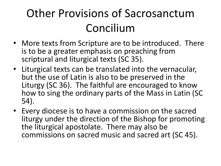- More texts from Scripture are to be introduced. There is to be a greater emphasis on preaching from scriptural and liturgical texts (SC 35).
- Liturgical texts can be translated into the vernacular, but the use of Latin is also to be preserved in the Liturgy (SC 36). The faithful are encouraged to know how to sing the ordinary parts of the Mass in Latin (SC 54).
- Every diocese is to have a commission on the sacred liturgy under the direction of the Bishop for promoting the liturgical apostolate. There may also be commissions on sacred music and sacred art (SC 45).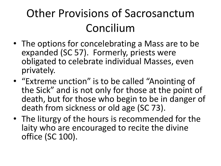- The options for concelebrating a Mass are to be expanded (SC 57). Formerly, priests were obligated to celebrate individual Masses, even privately.
- "Extreme unction" is to be called "Anointing of the Sick" and is not only for those at the point of death, but for those who begin to be in danger of death from sickness or old age (SC 73).
- The liturgy of the hours is recommended for the laity who are encouraged to recite the divine office (SC 100).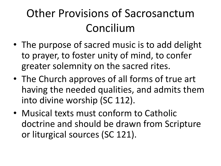- The purpose of sacred music is to add delight to prayer, to foster unity of mind, to confer greater solemnity on the sacred rites.
- The Church approves of all forms of true art having the needed qualities, and admits them into divine worship (SC 112).
- Musical texts must conform to Catholic doctrine and should be drawn from Scripture or liturgical sources (SC 121).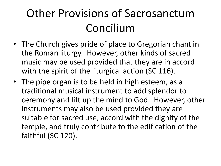- The Church gives pride of place to Gregorian chant in the Roman liturgy. However, other kinds of sacred music may be used provided that they are in accord with the spirit of the liturgical action (SC 116).
- The pipe organ is to be held in high esteem, as a traditional musical instrument to add splendor to ceremony and lift up the mind to God. However, other instruments may also be used provided they are suitable for sacred use, accord with the dignity of the temple, and truly contribute to the edification of the faithful (SC 120).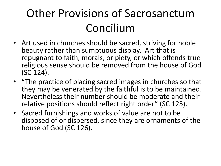- Art used in churches should be sacred, striving for noble beauty rather than sumptuous display. Art that is repugnant to faith, morals, or piety, or which offends true religious sense should be removed from the house of God (SC 124).
- "The practice of placing sacred images in churches so that they may be venerated by the faithful is to be maintained. Nevertheless their number should be moderate and their relative positions should reflect right order" (SC 125).
- Sacred furnishings and works of value are not to be disposed of or dispersed, since they are ornaments of the house of God (SC 126).